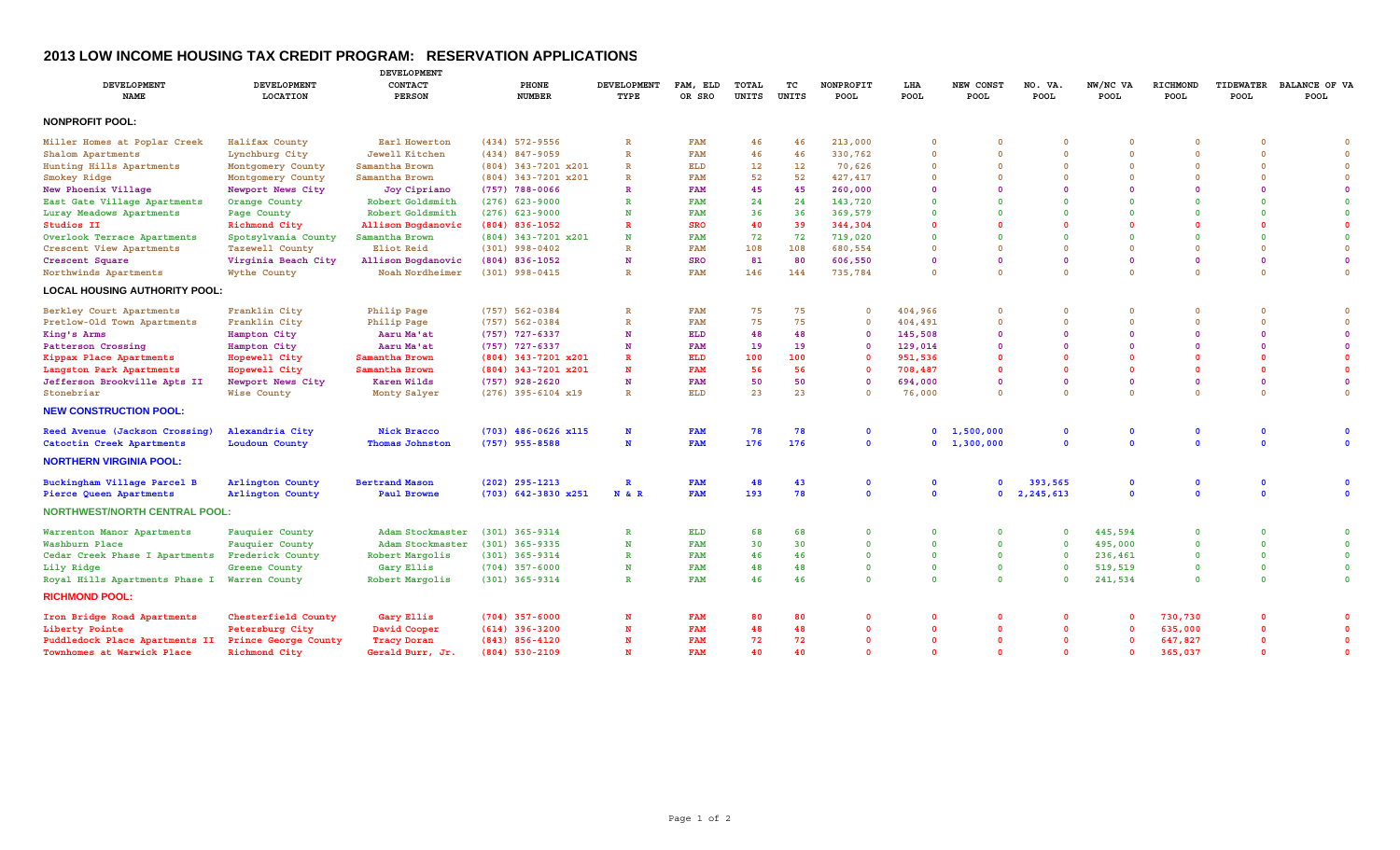## **2013 LOW INCOME HOUSING TAX CREDIT PROGRAM: RESERVATION APPLICATION S**

|                                      |                                       | DEVELOPMENT              |                         |                            |                    |                |             |                   |              |                     |                         |                  |                         |                          |                       |
|--------------------------------------|---------------------------------------|--------------------------|-------------------------|----------------------------|--------------------|----------------|-------------|-------------------|--------------|---------------------|-------------------------|------------------|-------------------------|--------------------------|-----------------------|
| <b>DEVELOPMENT</b><br><b>NAME</b>    | <b>DEVELOPMENT</b><br><b>LOCATION</b> | CONTACT<br><b>PERSON</b> | PHONE<br><b>NUMBER</b>  | <b>DEVELOPMENT</b><br>TYPE | FAM, ELD<br>OR SRO | TOTAL<br>UNITS | тc<br>UNITS | NONPROFIT<br>POOL | LHA<br>POOL  | NEW CONST<br>POOL   | NO. VA.<br>POOL         | NW/NC VA<br>POOL | RICHMOND<br>POOL        | <b>TIDEWATER</b><br>POOL | BALANCE OF VA<br>POOL |
| <b>NONPROFIT POOL:</b>               |                                       |                          |                         |                            |                    |                |             |                   |              |                     |                         |                  |                         |                          |                       |
| Miller Homes at Poplar Creek         | Halifax County                        | Earl Howerton            | $(434)$ 572-9556        | R                          | <b>FAM</b>         | 46             | 46          | 213,000           | $\Omega$     | 0                   | $\Omega$                |                  | $\Omega$                |                          |                       |
| Shalom Apartments                    | Lynchburg City                        | Jewell Kitchen           | $(434)$ 847-9059        | R                          | <b>FAM</b>         | 46             | 46          | 330,762           | $\Omega$     | $\Omega$            | $\overline{0}$          | $\Omega$         | $\Omega$                | $\Omega$                 | $\overline{0}$        |
| Hunting Hills Apartments             | Montgomery County                     | Samantha Brown           | $(804)$ 343-7201 $x201$ | $\mathbf R$                | ELD                | 12             | 12          | 70,626            | $\Omega$     | $\Omega$            | $\overline{0}$          | $\mathbf 0$      | $\Omega$                | $\Omega$                 | $\overline{0}$        |
| Smokey Ridge                         | Montgomery County                     | Samantha Brown           | $(804)$ 343-7201 $x201$ | R                          | <b>FAM</b>         | 52             | 52          | 427, 417          | $\Omega$     | $\Omega$            | $\overline{0}$          | $\Omega$         | $\Omega$                | $\Omega$                 | $\overline{0}$        |
| New Phoenix Village                  | Newport News City                     | Joy Cipriano             | $(757)$ 788-0066        |                            | <b>FAM</b>         | 45             | 45          | 260,000           | $\Omega$     |                     | $\overline{0}$          |                  | $\Omega$                |                          | $\Omega$              |
| East Gate Village Apartments         | Orange County                         | Robert Goldsmith         | $(276)$ 623-9000        |                            | <b>FAM</b>         | 24             | 24          | 143,720           | $\Omega$     |                     | $\mathbf 0$             | $\Omega$         | $\Omega$                |                          | $\mathbf{0}$          |
| Luray Meadows Apartments             | Page County                           | Robert Goldsmith         | $(276)$ 623-9000        |                            | <b>FAM</b>         | 36             | 36          | 369,579           | $\Omega$     | $\Omega$            | $\Omega$                | $\Omega$         | $\Omega$                |                          | $\Omega$              |
| Studios II                           | Richmond City                         | Allison Bogdanovic       | $(804)$ 836-1052        |                            | <b>SRO</b>         | 40             | 39          | 344,304           | $\Omega$     |                     | $\Omega$                |                  | $\Omega$                |                          | $\Omega$              |
| Overlook Terrace Apartments          | Spotsylvania County                   | Samantha Brown           | $(804)$ 343-7201 x201   | N                          | <b>FAM</b>         | 72             | 72          | 719,020           | $\Omega$     | $\mathbf{0}$        | $\Omega$                | $\Omega$         | $\Omega$                | $\Omega$                 | $\Omega$              |
| Crescent View Apartments             | Tazewell County                       | Eliot Reid               | $(301)$ 998-0402        |                            | <b>FAM</b>         | 108            | 108         | 680,554           | $\Omega$     | $\Omega$            | $\overline{0}$          | $\mathbf 0$      | $\Omega$                | $\Omega$                 | $\overline{0}$        |
| Crescent Square                      | Virginia Beach City                   | Allison Bogdanovic       | $(804)$ 836-1052        | N                          | SRO                | 81             | 80          | 606,550           | $\Omega$     | $\mathbf 0$         | $\overline{0}$          | 0                | $\Omega$                | $\Omega$                 | $\mathbf{0}$          |
| Northwinds Apartments                | Wythe County                          | Noah Nordheimer          | $(301)$ 998-0415        | $\mathbf R$                | <b>FAM</b>         | 146            | 144         | 735,784           | $\Omega$     | $\Omega$            | $\overline{0}$          | $\Omega$         | $\Omega$                | $\Omega$                 | $\overline{0}$        |
| <b>LOCAL HOUSING AUTHORITY POOL:</b> |                                       |                          |                         |                            |                    |                |             |                   |              |                     |                         |                  |                         |                          |                       |
|                                      |                                       |                          |                         |                            |                    |                |             |                   |              |                     |                         |                  |                         |                          |                       |
| Berkley Court Apartments             | Franklin City                         | <b>Philip Page</b>       | $(757) 562 - 0384$      | $\mathbb R$                | <b>FAM</b>         | 75             | 75          | 0                 | 404,966      | $\circ$             | $\overline{0}$          | $\Omega$         | $\overline{\mathbf{0}}$ | $\Omega$                 | $\Omega$              |
| Pretlow-Old Town Apartments          | Franklin City                         | Philip Page              | $(757) 562 - 0384$      |                            | <b>FAM</b>         | 75             | 75          | $\Omega$          | 404,491      | $\Omega$            | $\overline{0}$          | $\Omega$         | $\Omega$                | $\Omega$                 | $\Omega$              |
| King's Arms                          | Hampton City                          | Aaru Ma'at               | $(757)$ 727-6337        | N                          | <b>ELD</b>         | 48             | 48          | $\Omega$          | 145,508      | $\Omega$            | $\Omega$                | $\Omega$         | $\Omega$                | $\Omega$                 | $\Omega$              |
| Patterson Crossing                   | Hampton City                          | Aaru Ma'at               | $(757)$ 727-6337        | N                          | <b>FAM</b>         | 19             | 19          | $\Omega$          | 129,014      | $\Omega$            | $\overline{0}$          | $\Omega$         | $\Omega$                | $\Omega$                 | $\Omega$              |
| Kippax Place Apartments              | Hopewell City                         | Samantha Brown           | $(804)$ 343-7201 $x201$ |                            | <b>ELD</b>         | 100            | 100         | $\Omega$          | 951,536      | $\Omega$            | $\overline{0}$          | $\Omega$         | $\Omega$                |                          | $\Omega$              |
| Langston Park Apartments             | Hopewell City                         | Samantha Brown           | $(804)$ 343-7201 $x201$ | N                          | <b>FAM</b>         | 56             | 56          | 0                 | 708,487      | $\Omega$            | $\overline{0}$          | $\Omega$         | $\Omega$                | $\Omega$                 | $\Omega$              |
| Jefferson Brookville Apts II         | Newport News City                     | Karen Wilds              | $(757)$ 928-2620        | N                          | <b>FAM</b>         | 50             | 50          | $\Omega$          | 694,000      | $\mathbf{0}$        | $\overline{\mathbf{0}}$ | $\Omega$         | $\Omega$                | $\Omega$                 | $\Omega$              |
| Stonebriar                           | Wise County                           | Monty Salyer             | $(276)$ 395-6104 x19    | $\mathbf R$                | <b>ELD</b>         | 23             | 23          | $\mathbf 0$       | 76,000       | $\circ$             | $\overline{0}$          | $\Omega$         | $\Omega$                | $\Omega$                 | $\Omega$              |
| <b>NEW CONSTRUCTION POOL:</b>        |                                       |                          |                         |                            |                    |                |             |                   |              |                     |                         |                  |                         |                          |                       |
| Reed Avenue (Jackson Crossing)       | Alexandria City                       | <b>Nick Bracco</b>       | $(703)$ 486-0626 x115   | N                          | <b>FAM</b>         | 78             | 78          | 0                 | $\mathbf{0}$ | 1,500,000           | $\mathbf{0}$            | 0                | $\mathbf 0$             | $\Omega$                 | $\Omega$              |
| Catoctin Creek Apartments            | Loudoun County                        | Thomas Johnston          | $(757)$ 955-8588        | N                          | <b>FAM</b>         | 176            | 176         | $\mathbf{0}$      |              | $0 \quad 1,300,000$ | $\mathbf{0}$            | $\Omega$         | $\Omega$                | $\Omega$                 | $\Omega$              |
| <b>NORTHERN VIRGINIA POOL:</b>       |                                       |                          |                         |                            |                    |                |             |                   |              |                     |                         |                  |                         |                          |                       |
| Buckingham Village Parcel B          | Arlington County                      | <b>Bertrand Mason</b>    | $(202)$ 295-1213        | $\mathbf{R}$               | <b>FAM</b>         | 48             | 43          | $\mathbf 0$       | $\mathbf 0$  |                     | 393,565                 | $\mathbf{0}$     | $\mathbf 0$             | $\Omega$                 | $\Omega$              |
| Pierce Queen Apartments              | Arlington County                      | Paul Browne              | $(703)$ 642-3830 $x251$ | N & R                      | <b>FAM</b>         | 193            | 78          | $\mathbf{0}$      | $\mathbf{0}$ | $\mathbf{0}$        | 2,245,613               | $\mathbf{0}$     | $\overline{0}$          | $\mathbf{0}$             | $\mathbf{0}$          |
| <b>NORTHWEST/NORTH CENTRAL POOL:</b> |                                       |                          |                         |                            |                    |                |             |                   |              |                     |                         |                  |                         |                          |                       |
| Warrenton Manor Apartments           | Fauquier County                       | Adam Stockmaster         | $(301)$ 365-9314        | $\mathbb{R}$               | <b>ELD</b>         | 68             | 68          | $\Omega$          | $\Omega$     | $\Omega$            | $\overline{0}$          | 445,594          | $\Omega$                | $\Omega$                 | $\Omega$              |
| Washburn Place                       | Fauguier County                       | Adam Stockmaster         | $(301)$ 365-9335        | N                          | <b>FAM</b>         | 30             | 30          | $\Omega$          | $\mathbf{0}$ | $\mathbf{0}$        | $\overline{0}$          | 495,000          | $\Omega$                | $\mathbf{0}$             | $\Omega$              |
| Cedar Creek Phase I Apartments       | Frederick County                      | Robert Margolis          | $(301)$ 365-9314        | $\mathbb{R}$               | <b>FAM</b>         | 46             | 46          | $\mathbf 0$       | $\mathbf{0}$ | $\mathbf{0}$        | $\mathbf{0}$            | 236,461          | $\Omega$                | $\Omega$                 | $\overline{0}$        |
| Lily Ridge                           | Greene County                         | Gary Ellis               | $(704)$ 357-6000        | N                          | <b>FAM</b>         | 48             | 48          | $\Omega$          | $\mathbf{0}$ | $\mathbf{0}$        | $\overline{0}$          | 519,519          | $\Omega$                | $\mathbf{0}$             | $\Omega$              |
| Royal Hills Apartments Phase I       | Warren County                         | Robert Margolis          | $(301)$ 365-9314        | $\mathbb{R}$               | <b>FAM</b>         | 46             | 46          | $\Omega$          | $\Omega$     | $\mathbf{0}$        | $\Omega$                | 241,534          | $\Omega$                | $\Omega$                 | $\Omega$              |
| <b>RICHMOND POOL:</b>                |                                       |                          |                         |                            |                    |                |             |                   |              |                     |                         |                  |                         |                          |                       |
| Iron Bridge Road Apartments          | Chesterfield County                   | Gary Ellis               | $(704)$ 357-6000        | N                          | <b>FAM</b>         | 80             | 80          | O                 | $\Omega$     | $\Omega$            | - 0                     |                  | 730,730                 |                          |                       |
| Liberty Pointe                       | Petersburg City                       | David Cooper             | $(614)$ 396-3200        | N                          | <b>FAM</b>         | 48             | 48          | $\Omega$          | $\Omega$     | $\mathbf{0}$        | $\overline{0}$          |                  | 635,000                 | $\Omega$                 | $\Omega$              |
| Puddledock Place Apartments II       | Prince George County                  | <b>Tracy Doran</b>       | $(843)$ $856 - 4120$    |                            | <b>FAM</b>         | 72             | 72          | O                 | $\Omega$     | $\Omega$            | $\overline{0}$          |                  | 647,827                 |                          | $\Omega$              |
| Townhomes at Warwick Place           | Richmond City                         | Gerald Burr, Jr.         | $(804)$ 530-2109        |                            | <b>FAM</b>         | 40             | 40          | $\Omega$          | $\Omega$     | $\Omega$            | $\Omega$                |                  | 365,037                 | $\Omega$                 | $\Omega$              |
|                                      |                                       |                          |                         |                            |                    |                |             |                   |              |                     |                         |                  |                         |                          |                       |